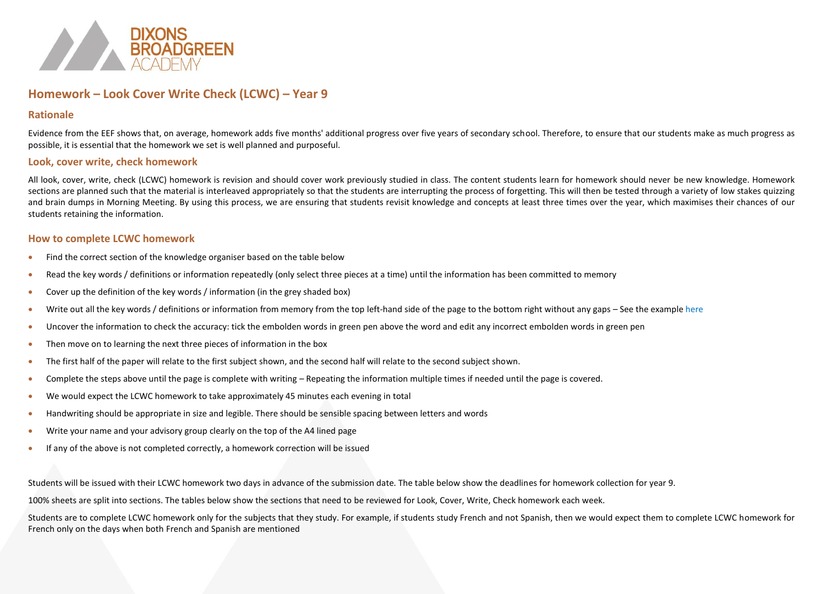

# **Homework – Look Cover Write Check (LCWC) – Year 9**

### **Rationale**

Evidence from the EEF shows that, on average, homework adds five months' additional progress over five years of secondary school. Therefore, to ensure that our students make as much progress as possible, it is essential that the homework we set is well planned and purposeful.

### **Look, cover write, check homework**

All look, cover, write, check (LCWC) homework is revision and should cover work previously studied in class. The content students learn for homework should never be new knowledge. Homework sections are planned such that the material is interleaved appropriately so that the students are interrupting the process of forgetting. This will then be tested through a variety of low stakes quizzing and brain dumps in Morning Meeting. By using this process, we are ensuring that students revisit knowledge and concepts at least three times over the year, which maximises their chances of our students retaining the information.

## **How to complete LCWC homework**

- Find the correct section of the knowledge organiser based on the table below
- Read the key words / definitions or information repeatedly (only select three pieces at a time) until the information has been committed to memory
- Cover up the definition of the key words / information (in the grey shaded box)
- Write out all the key words / definitions or information from memory from the top left-hand side of the page to the bottom right without any gaps See the example here
- Uncover the information to check the accuracy: tick the embolden words in green pen above the word and edit any incorrect embolden words in green pen
- Then move on to learning the next three pieces of information in the box
- The first half of the paper will relate to the first subject shown, and the second half will relate to the second subject shown.
- Complete the steps above until the page is complete with writing Repeating the information multiple times if needed until the page is covered.
- We would expect the LCWC homework to take approximately 45 minutes each evening in total
- Handwriting should be appropriate in size and legible. There should be sensible spacing between letters and words
- Write your name and your advisory group clearly on the top of the A4 lined page
- If any of the above is not completed correctly, a homework correction will be issued

Students will be issued with their LCWC homework two days in advance of the submission date. The table below show the deadlines for homework collection for year 9.

100% sheets are split into sections. The tables below show the sections that need to be reviewed for Look, Cover, Write, Check homework each week.

Students are to complete LCWC homework only for the subjects that they study. For example, if students study French and not Spanish, then we would expect them to complete LCWC homework for French only on the days when both French and Spanish are mentioned